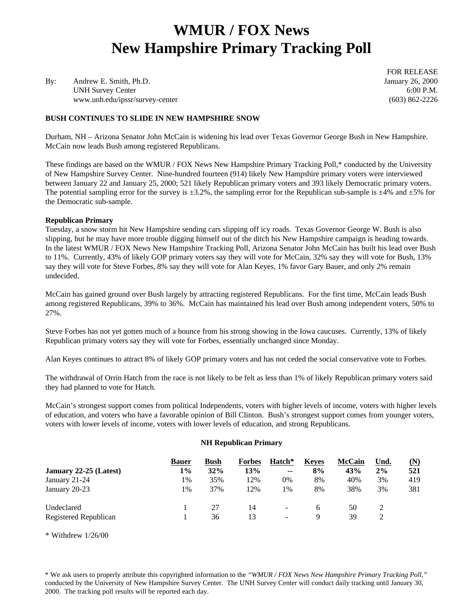# **WMUR / FOX News New Hampshire Primary Tracking Poll**

By: Andrew E. Smith, Ph.D. January 26, 2000 UNH Survey Center 6:00 P.M. www.unh.edu/ipssr/survey-center (603) 862-2226

**BUSH CONTINUES TO SLIDE IN NEW HAMPSHIRE SNOW**

FOR RELEASE

Durham, NH – Arizona Senator John McCain is widening his lead over Texas Governor George Bush in New Hampshire. McCain now leads Bush among registered Republicans.

These findings are based on the WMUR / FOX News New Hampshire Primary Tracking Poll,\* conducted by the University of New Hampshire Survey Center. Nine-hundred fourteen (914) likely New Hampshire primary voters were interviewed between January 22 and January 25, 2000; 521 likely Republican primary voters and 393 likely Democratic primary voters. The potential sampling error for the survey is  $\pm 3.2\%$ , the sampling error for the Republican sub-sample is  $\pm 4\%$  and  $\pm 5\%$  for the Democratic sub-sample.

#### **Republican Primary**

Tuesday, a snow storm hit New Hampshire sending cars slipping off icy roads. Texas Governor George W. Bush is also slipping, but he may have more trouble digging himself out of the ditch his New Hampshire campaign is heading towards. In the latest WMUR / FOX News New Hampshire Tracking Poll, Arizona Senator John McCain has built his lead over Bush to 11%. Currently, 43% of likely GOP primary voters say they will vote for McCain, 32% say they will vote for Bush, 13% say they will vote for Steve Forbes, 8% say they will vote for Alan Keyes, 1% favor Gary Bauer, and only 2% remain undecided.

McCain has gained ground over Bush largely by attracting registered Republicans. For the first time, McCain leads Bush among registered Republicans, 39% to 36%. McCain has maintained his lead over Bush among independent voters, 50% to 27%.

Steve Forbes has not yet gotten much of a bounce from his strong showing in the Iowa caucuses. Currently, 13% of likely Republican primary voters say they will vote for Forbes, essentially unchanged since Monday.

Alan Keyes continues to attract 8% of likely GOP primary voters and has not ceded the social conservative vote to Forbes.

The withdrawal of Orrin Hatch from the race is not likely to be felt as less than 1% of likely Republican primary voters said they had planned to vote for Hatch.

McCain's strongest support comes from political Independents, voters with higher levels of income, voters with higher levels of education, and voters who have a favorable opinion of Bill Clinton. Bush's strongest support comes from younger voters, voters with lower levels of income, voters with lower levels of education, and strong Republicans.

#### **NH Republican Primary**

|                        | <b>Bauer</b> | Bush | <b>Forbes</b> | Hatch*        | Keves | <b>McCain</b> | Und. | (N) |
|------------------------|--------------|------|---------------|---------------|-------|---------------|------|-----|
| January 22-25 (Latest) | 1%           | 32%  | 13%           | $\sim$ $\sim$ | 8%    | 43%           | 2%   | 521 |
| January 21-24          | 1%           | 35%  | 12%           | 0%            | 8%    | 40%           | 3%   | 419 |
| January 20-23          | 1%           | 37%  | 12%           | 1%            | 8%    | 38%           | 3%   | 381 |
| Undeclared             |              | 27   | 14            | -             | h     | 50            |      |     |
| Registered Republican  |              | 36   | 13            | -             | Q     | 39            |      |     |

\* Withdrew 1/26/00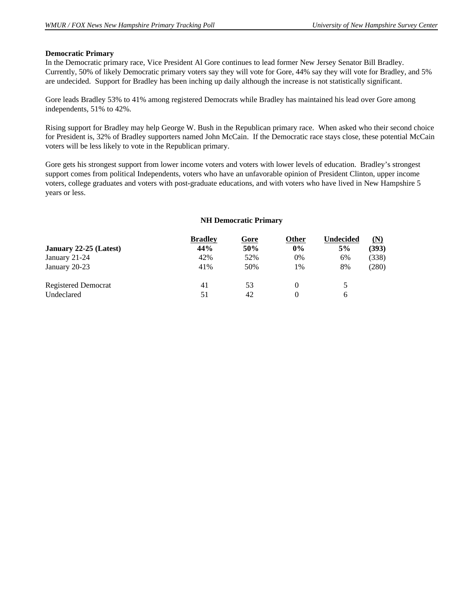#### **Democratic Primary**

In the Democratic primary race, Vice President Al Gore continues to lead former New Jersey Senator Bill Bradley. Currently, 50% of likely Democratic primary voters say they will vote for Gore, 44% say they will vote for Bradley, and 5% are undecided. Support for Bradley has been inching up daily although the increase is not statistically significant.

Gore leads Bradley 53% to 41% among registered Democrats while Bradley has maintained his lead over Gore among independents, 51% to 42%.

Rising support for Bradley may help George W. Bush in the Republican primary race. When asked who their second choice for President is, 32% of Bradley supporters named John McCain. If the Democratic race stays close, these potential McCain voters will be less likely to vote in the Republican primary.

Gore gets his strongest support from lower income voters and voters with lower levels of education. Bradley's strongest support comes from political Independents, voters who have an unfavorable opinion of President Clinton, upper income voters, college graduates and voters with post-graduate educations, and with voters who have lived in New Hampshire 5 years or less.

#### **NH Democratic Primary**

|                            | <b>Bradley</b> | Gore | Other | Undecided | (N)   |
|----------------------------|----------------|------|-------|-----------|-------|
| January 22-25 (Latest)     | 44%            | 50%  | 0%    | 5%        | (393) |
| January 21-24              | 42%            | 52%  | 0%    | 6%        | (338) |
| January 20-23              | 41%            | 50%  | 1%    | 8%        | (280) |
| <b>Registered Democrat</b> | 41             | 53   |       | 5         |       |
| Undeclared                 | 51             | 42   |       | 6         |       |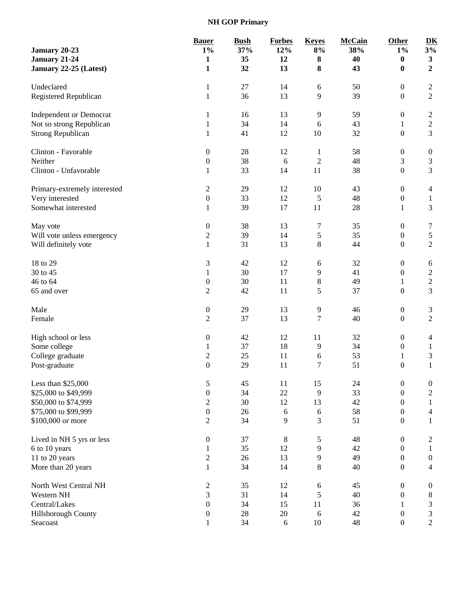**NH GOP Primary**

|                                | <b>Bauer</b>     | <b>Bush</b> | <b>Forbes</b> | <b>Keyes</b>   | <b>McCain</b> | Other            | D <sub>K</sub>   |
|--------------------------------|------------------|-------------|---------------|----------------|---------------|------------------|------------------|
| January 20-23                  | $1\%$            | 37%         | 12%           | $8\%$          | 38%           | $1\%$            | 3%               |
| January 21-24                  | $\mathbf{1}$     | 35          | 12            | 8              | 40            | 0                | $\mathbf{3}$     |
| January 22-25 (Latest)         | 1                | 32          | 13            | 8              | 43            | 0                | $\overline{2}$   |
| Undeclared                     | $\mathbf{1}$     | 27          | 14            | 6              | 50            | $\boldsymbol{0}$ | $\boldsymbol{2}$ |
| Registered Republican          | 1                | 36          | 13            | 9              | 39            | $\boldsymbol{0}$ | $\overline{2}$   |
| <b>Independent or Democrat</b> | 1                | 16          | 13            | 9              | 59            | $\boldsymbol{0}$ | $\overline{2}$   |
| Not so strong Republican       | 1                | 34          | 14            | $\sqrt{6}$     | 43            | $\mathbf{1}$     | $\sqrt{2}$       |
| <b>Strong Republican</b>       | 1                | 41          | 12            | 10             | 32            | $\boldsymbol{0}$ | $\overline{3}$   |
| Clinton - Favorable            | $\boldsymbol{0}$ | 28          | 12            | $\mathbf{1}$   | 58            | $\boldsymbol{0}$ | $\boldsymbol{0}$ |
| Neither                        | $\boldsymbol{0}$ | 38          | 6             | $\overline{c}$ | 48            | 3                | $\mathfrak 3$    |
| Clinton - Unfavorable          | 1                | 33          | 14            | 11             | 38            | $\boldsymbol{0}$ | $\overline{3}$   |
| Primary-extremely interested   | $\boldsymbol{2}$ | 29          | 12            | 10             | 43            | $\boldsymbol{0}$ | $\overline{4}$   |
| Very interested                | $\boldsymbol{0}$ | 33          | 12            | 5              | 48            | $\boldsymbol{0}$ | $\mathbf{1}$     |
| Somewhat interested            | 1                | 39          | $17\,$        | 11             | 28            | $\mathbf{1}$     | $\overline{3}$   |
| May vote                       | $\boldsymbol{0}$ | 38          | 13            | 7              | 35            | $\boldsymbol{0}$ | 7                |
| Will vote unless emergency     | $\overline{c}$   | 39          | 14            | 5              | 35            | $\boldsymbol{0}$ | $\sqrt{5}$       |
| Will definitely vote           | $\mathbf{1}$     | 31          | 13            | 8              | 44            | $\boldsymbol{0}$ | $\overline{2}$   |
| 18 to 29                       | $\mathfrak{Z}$   | 42          | 12            | 6              | 32            | $\boldsymbol{0}$ | 6                |
| 30 to 45                       | 1                | 30          | 17            | 9              | 41            | $\boldsymbol{0}$ | $\sqrt{2}$       |
| 46 to 64                       | $\boldsymbol{0}$ | 30          | 11            | 8              | 49            | $\mathbf{1}$     | $\overline{c}$   |
| 65 and over                    | $\overline{2}$   | 42          | 11            | 5              | 37            | $\boldsymbol{0}$ | $\overline{3}$   |
| Male                           | $\boldsymbol{0}$ | 29          | 13            | 9              | 46            | $\boldsymbol{0}$ | $\mathfrak{Z}$   |
| Female                         | $\overline{2}$   | 37          | 13            | 7              | 40            | $\boldsymbol{0}$ | $\overline{2}$   |
| High school or less            | $\boldsymbol{0}$ | 42          | 12            | 11             | 32            | $\boldsymbol{0}$ | 4                |
| Some college                   | 1                | 37          | 18            | 9              | 34            | $\boldsymbol{0}$ | $\mathbf{1}$     |
| College graduate               | $\overline{c}$   | 25          | 11            | 6              | 53            | $\mathbf{1}$     | 3                |
| Post-graduate                  | $\boldsymbol{0}$ | 29          | 11            | 7              | 51            | $\boldsymbol{0}$ | $\mathbf{1}$     |
| Less than \$25,000             | 5                | 45          | 11            | 15             | 24            | $\boldsymbol{0}$ | $\boldsymbol{0}$ |
| \$25,000 to \$49,999           | $\boldsymbol{0}$ | 34          | 22            | 9              | 33            | $\boldsymbol{0}$ | $\sqrt{2}$       |
| \$50,000 to \$74,999           | $\sqrt{2}$       | 30          | 12            | 13             | 42            | $\boldsymbol{0}$ | $\mathbf{1}$     |
| \$75,000 to \$99,999           | $\boldsymbol{0}$ | 26          | 6             | 6              | 58            | $\boldsymbol{0}$ | $\overline{4}$   |
| \$100,000 or more              | $\overline{2}$   | 34          | 9             | 3              | 51            | $\boldsymbol{0}$ | $\mathbf{1}$     |
| Lived in NH 5 yrs or less      | $\boldsymbol{0}$ | 37          | $\,8\,$       | 5              | 48            | $\boldsymbol{0}$ | $\overline{c}$   |
| 6 to 10 years                  | 1                | 35          | 12            | 9              | 42            | $\boldsymbol{0}$ | $\mathbf{1}$     |
| 11 to 20 years                 | $\sqrt{2}$       | 26          | 13            | 9              | 49            | $\boldsymbol{0}$ | $\boldsymbol{0}$ |
| More than 20 years             | $\mathbf{1}$     | 34          | 14            | 8              | 40            | $\boldsymbol{0}$ | $\overline{4}$   |
| North West Central NH          | $\overline{c}$   | 35          | 12            | $\sqrt{6}$     | 45            | $\boldsymbol{0}$ | $\boldsymbol{0}$ |
| Western NH                     | $\mathfrak 3$    | 31          | 14            | 5              | 40            | $\boldsymbol{0}$ | $8\,$            |
| Central/Lakes                  | $\boldsymbol{0}$ | 34          | 15            | 11             | 36            | $\mathbf{1}$     | $\mathfrak{Z}$   |
| Hillsborough County            | $\boldsymbol{0}$ | 28          | 20            | 6              | 42            | $\boldsymbol{0}$ | $\mathfrak{Z}$   |
| Seacoast                       | $\,1$            | 34          | $6\,$         | 10             | $\sqrt{48}$   | $\boldsymbol{0}$ | $\sqrt{2}$       |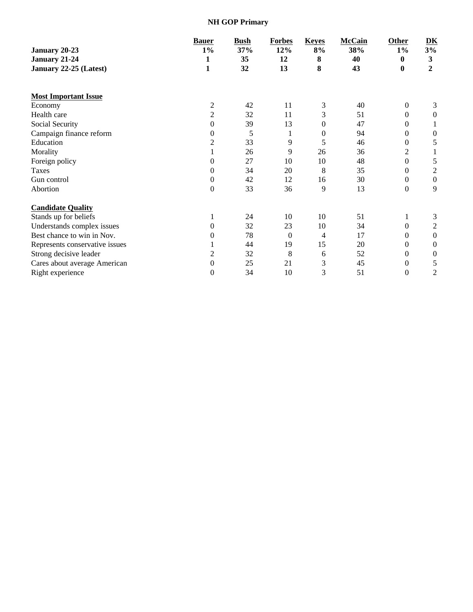**NH GOP Primary**

|                                | <b>Bauer</b>     | <b>Bush</b> | <b>Forbes</b> | <b>Keyes</b>   | <b>McCain</b> | Other          | $\underline{\mathbf{D}}\underline{\mathbf{K}}$ |
|--------------------------------|------------------|-------------|---------------|----------------|---------------|----------------|------------------------------------------------|
| January 20-23                  | $1\%$            | 37%         | 12%           | 8%             | 38%           | $1\%$          | 3%                                             |
| January 21-24                  | 1                | 35          | 12            | 8              | 40            | 0              | 3                                              |
| January 22-25 (Latest)         | $\mathbf{1}$     | 32          | 13            | 8              | 43            | $\bf{0}$       | $\mathbf{2}$                                   |
| <b>Most Important Issue</b>    |                  |             |               |                |               |                |                                                |
| Economy                        | 2                | 42          | 11            | 3              | 40            | $\overline{0}$ | 3                                              |
| Health care                    | 2                | 32          | 11            | 3              | 51            | 0              | 0                                              |
| Social Security                | $\theta$         | 39          | 13            | 0              | 47            | 0              |                                                |
| Campaign finance reform        | 0                | 5           |               | $\mathbf{0}$   | 94            | 0              | $\boldsymbol{0}$                               |
| Education                      | 2                | 33          | 9             | 5              | 46            | 0              | 5                                              |
| Morality                       |                  | 26          | 9             | 26             | 36            | 2              |                                                |
| Foreign policy                 | $\Omega$         | 27          | 10            | 10             | 48            | 0              | 5                                              |
| Taxes                          | $\theta$         | 34          | 20            | 8              | 35            | 0              | $\overline{c}$                                 |
| Gun control                    | 0                | 42          | 12            | 16             | 30            | 0              | $\boldsymbol{0}$                               |
| Abortion                       | $\boldsymbol{0}$ | 33          | 36            | 9              | 13            | 0              | 9                                              |
| <b>Candidate Quality</b>       |                  |             |               |                |               |                |                                                |
| Stands up for beliefs          |                  | 24          | 10            | 10             | 51            |                | 3                                              |
| Understands complex issues     | $\Omega$         | 32          | 23            | 10             | 34            | 0              | $\overline{c}$                                 |
| Best chance to win in Nov.     | $\theta$         | 78          | $\Omega$      | $\overline{4}$ | 17            | 0              | $\theta$                                       |
| Represents conservative issues |                  | 44          | 19            | 15             | 20            | 0              | $\boldsymbol{0}$                               |
| Strong decisive leader         | 2                | 32          | 8             | 6              | 52            | 0              | $\boldsymbol{0}$                               |
| Cares about average American   | 0                | 25          | 21            | 3              | 45            | 0              | 5                                              |
| Right experience               | 0                | 34          | 10            | 3              | 51            | 0              | $\overline{c}$                                 |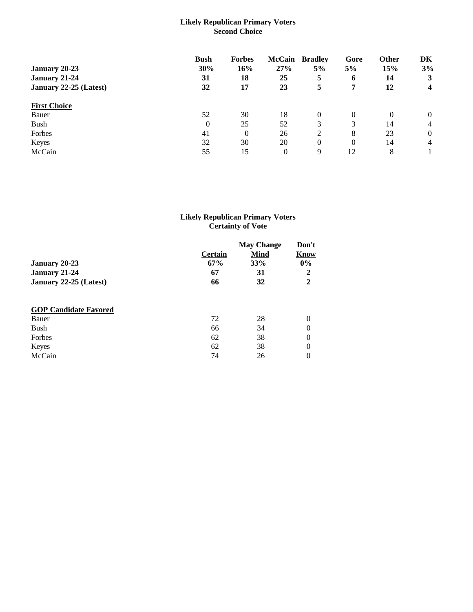## **Likely Republican Primary Voters Second Choice**

|                        | <b>Bush</b> | <b>Forbes</b> | <b>McCain</b> | <b>Bradley</b> | Gore     | Other    | $\overline{\mathbf{D}}\overline{\mathbf{K}}$ |
|------------------------|-------------|---------------|---------------|----------------|----------|----------|----------------------------------------------|
| January 20-23          | 30%         | 16%           | 27%           | 5%             | 5%       | 15%      | 3%                                           |
| January 21-24          | 31          | 18            | 25            | 5              | 6        | 14       | 3                                            |
| January 22-25 (Latest) | 32          | 17            | 23            | 5              | 7        | 12       | 4                                            |
| <b>First Choice</b>    |             |               |               |                |          |          |                                              |
| Bauer                  | 52          | 30            | 18            | $\Omega$       | 0        | $\Omega$ | $\overline{0}$                               |
| <b>Bush</b>            | $\theta$    | 25            | 52            | 3              | 3        | 14       | $\overline{4}$                               |
| Forbes                 | 41          | $\theta$      | 26            | ↑              | 8        | 23       | $\overline{0}$                               |
| Keyes                  | 32          | 30            | 20            | 0              | $\Omega$ | 14       | $\overline{4}$                               |
| McCain                 | 55          | 15            | 0             | 9              | 12       | 8        |                                              |

### **Likely Republican Primary Voters Certainty of Vote**

|                              | <b>Certain</b> | <b>May Change</b><br><b>Mind</b> | Don't<br>Know |
|------------------------------|----------------|----------------------------------|---------------|
| <b>January 20-23</b>         | 67%            | 33%                              | $0\%$         |
| January 21-24                | 67             | 31                               | $\mathbf{2}$  |
| January 22-25 (Latest)       | 66             | 32                               | $\mathbf{2}$  |
| <b>GOP Candidate Favored</b> |                |                                  |               |
| Bauer                        | 72             | 28                               | $\theta$      |
| Bush                         | 66             | 34                               | $\theta$      |
| Forbes                       | 62             | 38                               | $\theta$      |
| Keyes                        | 62             | 38                               | $\theta$      |
| McCain                       | 74             | 26                               | 0             |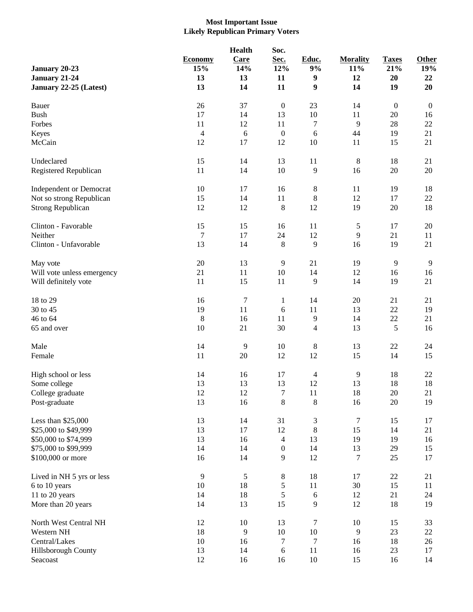# **Most Important Issue Likely Republican Primary Voters**

| January 20-23<br>January 21-24<br>January 22-25 (Latest) | <b>Economy</b><br>15%<br>13<br>13 | <b>Health</b><br>Care<br>14%<br>13<br>14 | Soc.<br>Sec.<br>12%<br>11<br>11 | Educ.<br>9%<br>9<br>9    | <b>Morality</b><br>11%<br>12<br>14 | <b>Taxes</b><br>21%<br>20<br>19 | Other<br>19%<br>22<br>20 |
|----------------------------------------------------------|-----------------------------------|------------------------------------------|---------------------------------|--------------------------|------------------------------------|---------------------------------|--------------------------|
| Bauer                                                    | 26                                | 37                                       | $\boldsymbol{0}$                | 23                       | 14                                 | $\boldsymbol{0}$                | $\boldsymbol{0}$         |
| <b>Bush</b>                                              | 17                                | 14                                       | 13                              | $10\,$                   | 11                                 | 20                              | 16                       |
| Forbes                                                   | 11                                | 12                                       | 11                              | $\tau$                   | 9                                  | 28                              | 22                       |
| Keyes                                                    | $\overline{4}$                    | $\sqrt{6}$                               | $\boldsymbol{0}$                | 6                        | 44                                 | 19                              | 21                       |
| McCain                                                   | 12                                | 17                                       | 12                              | $10\,$                   | 11                                 | 15                              | 21                       |
| Undeclared                                               | 15                                | 14                                       | 13                              | 11                       | $\,8\,$                            | 18                              | 21                       |
| Registered Republican                                    | 11                                | 14                                       | 10                              | $\mathbf{9}$             | 16                                 | $20\,$                          | 20                       |
| <b>Independent or Democrat</b>                           | $10\,$                            | 17                                       | 16                              | $\,$ 8 $\,$              | 11                                 | 19                              | 18                       |
| Not so strong Republican                                 | 15                                | 14                                       | 11                              | $\,$ 8 $\,$              | 12                                 | 17                              | 22                       |
| <b>Strong Republican</b>                                 | 12                                | 12                                       | $\,8\,$                         | 12                       | 19                                 | 20                              | 18                       |
| Clinton - Favorable                                      | 15                                | 15                                       | 16                              | 11                       | $\sqrt{5}$                         | 17                              | 20                       |
| Neither                                                  | $\overline{7}$                    | 17                                       | 24                              | 12                       | 9                                  | 21                              | 11                       |
| Clinton - Unfavorable                                    | 13                                | 14                                       | $\,8\,$                         | 9                        | 16                                 | 19                              | 21                       |
| May vote                                                 | $20\,$                            | 13                                       | $\overline{9}$                  | 21                       | 19                                 | 9                               | $\overline{9}$           |
| Will vote unless emergency                               | 21                                | 11                                       | 10                              | 14                       | 12                                 | 16                              | 16                       |
| Will definitely vote                                     | 11                                | 15                                       | 11                              | 9                        | 14                                 | 19                              | 21                       |
| 18 to 29                                                 | 16                                | $\tau$                                   | $\mathbf{1}$                    | 14                       | 20                                 | 21                              | 21                       |
| 30 to 45                                                 | 19                                | 11                                       | 6                               | 11                       | 13                                 | 22                              | 19                       |
| 46 to 64                                                 | $8\phantom{1}$                    | 16                                       | 11                              | 9                        | 14                                 | $22\,$                          | 21                       |
| 65 and over                                              | $10\,$                            | 21                                       | 30                              | $\overline{\mathcal{L}}$ | 13                                 | 5                               | 16                       |
| Male                                                     | 14                                | 9                                        | 10                              | $\,$ 8 $\,$              | 13                                 | $22\,$                          | 24                       |
| Female                                                   | 11                                | 20                                       | 12                              | 12                       | 15                                 | 14                              | 15                       |
| High school or less                                      | 14                                | 16                                       | 17                              | $\overline{4}$           | 9                                  | 18                              | 22                       |
| Some college                                             | 13                                | 13                                       | 13                              | 12                       | 13                                 | 18                              | 18                       |
| College graduate                                         | 12                                | 12                                       | 7                               | 11                       | 18                                 | $20\,$                          | 21                       |
| Post-graduate                                            | 13                                | 16                                       | $8\,$                           | 8                        | 16                                 | $20\,$                          | 19                       |
| Less than \$25,000                                       | 13                                | 14                                       | 31                              | 3                        | $\tau$                             | 15                              | 17                       |
| \$25,000 to \$49,999                                     | 13                                | 17                                       | 12                              | 8                        | 15                                 | 14                              | 21                       |
| \$50,000 to \$74,999                                     | 13                                | 16                                       | $\overline{4}$                  | 13                       | 19                                 | 19                              | 16                       |
| \$75,000 to \$99,999                                     | 14                                | 14                                       | $\boldsymbol{0}$                | 14                       | 13                                 | 29                              | 15                       |
| \$100,000 or more                                        | 16                                | 14                                       | 9                               | 12                       | 7                                  | 25                              | 17                       |
| Lived in NH 5 yrs or less                                | $\overline{9}$                    | $\mathfrak s$                            | $\,8\,$                         | 18                       | 17                                 | $22\,$                          | 21                       |
| 6 to 10 years                                            | $10\,$                            | 18                                       | $\mathfrak s$                   | 11                       | 30                                 | 15                              | 11                       |
| 11 to 20 years                                           | 14                                | 18                                       | $\mathfrak s$                   | $\sqrt{6}$               | 12                                 | 21                              | 24                       |
| More than 20 years                                       | 14                                | 13                                       | 15                              | 9                        | 12                                 | 18                              | 19                       |
| North West Central NH                                    | 12                                | 10                                       | 13                              | $\tau$                   | 10                                 | 15                              | 33                       |
| Western NH                                               | 18                                | 9                                        | $10\,$                          | $10\,$                   | 9                                  | 23                              | 22                       |
| Central/Lakes                                            | $10\,$                            | 16                                       | $\tau$                          | 7                        | 16                                 | 18                              | 26                       |
| Hillsborough County                                      | 13                                | 14                                       | 6                               | 11                       | 16                                 | 23                              | 17                       |
| Seacoast                                                 | 12                                | 16                                       | 16                              | $10\,$                   | 15                                 | 16                              | 14                       |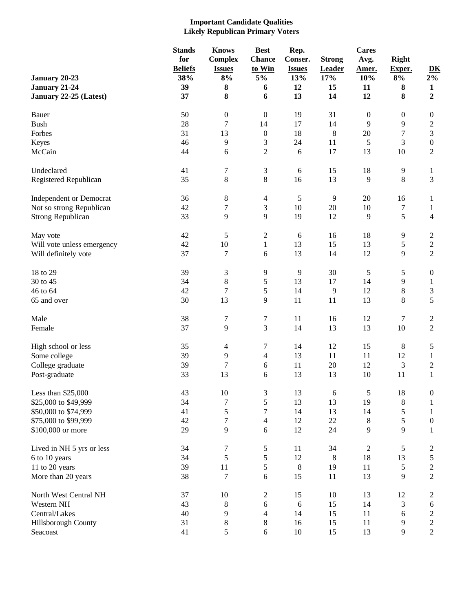#### **Important Candidate Qualities Likely Republican Primary Voters**

|                                | <b>Stands</b>  | <b>Knows</b>     | <b>Best</b>      | Rep.          |               | <b>Cares</b>     |                  |                                                |
|--------------------------------|----------------|------------------|------------------|---------------|---------------|------------------|------------------|------------------------------------------------|
|                                | for            | <b>Complex</b>   | <b>Chance</b>    | Conser.       | <b>Strong</b> | Avg.             | <b>Right</b>     |                                                |
|                                | <b>Beliefs</b> | <b>Issues</b>    | to Win           | <b>Issues</b> | Leader        | Amer.            | Exper.           | $\underline{\mathbf{D}}\underline{\mathbf{K}}$ |
| January 20-23                  | 38%            | $8\%$            | 5%               | 13%           | 17%           | 10%              | $8\%$            | $2\%$                                          |
| January 21-24                  | 39             | 8                | 6                | 12            | 15            | 11               | ${\bf 8}$        | $\mathbf{1}$                                   |
| January 22-25 (Latest)         | 37             | 8                | 6                | 13            | 14            | 12               | 8                | $\boldsymbol{2}$                               |
|                                |                |                  |                  |               |               |                  |                  |                                                |
| Bauer                          | 50             | $\boldsymbol{0}$ | $\boldsymbol{0}$ | 19            | 31            | $\boldsymbol{0}$ | $\boldsymbol{0}$ | $\boldsymbol{0}$                               |
| <b>Bush</b>                    | 28             | 7                | 14               | 17            | 14            | 9                | 9                | $\overline{c}$                                 |
| Forbes                         | 31             | 13               | $\boldsymbol{0}$ | 18            | $8\,$         | $20\,$           | 7                | 3                                              |
| Keyes                          | 46             | 9                | $\mathfrak{Z}$   | 24            | 11            | 5                | 3                | $\boldsymbol{0}$                               |
| McCain                         | 44             | 6                | $\mathbf{2}$     | 6             | 17            | 13               | 10               | 2                                              |
|                                |                |                  |                  |               |               |                  |                  |                                                |
| Undeclared                     | 41             | 7                | $\mathfrak{Z}$   | $6\,$         | 15            | 18               | $\overline{9}$   | $\mathbf{1}$                                   |
| Registered Republican          | 35             | 8                | $8\,$            | 16            | 13            | 9                | 8                | 3                                              |
|                                |                |                  |                  |               |               |                  |                  |                                                |
| <b>Independent or Democrat</b> | 36             | 8                | $\overline{4}$   | 5             | 9             | 20               | 16               | 1                                              |
| Not so strong Republican       | 42             | 7                | $\mathfrak{Z}$   | $10\,$        | $20\,$        | 10               | 7                | 1                                              |
| <b>Strong Republican</b>       | 33             | 9                | 9                | 19            | 12            | 9                | 5                | 4                                              |
| May vote                       | 42             | 5                | $\sqrt{2}$       | $\sqrt{6}$    | 16            | 18               | 9                | $\overline{c}$                                 |
| Will vote unless emergency     | 42             | 10               | $\mathbf{1}$     | 13            | 15            | 13               | 5                | $\boldsymbol{2}$                               |
| Will definitely vote           | 37             | 7                | 6                | 13            | 14            | 12               | 9                | $\overline{2}$                                 |
|                                |                |                  |                  |               |               |                  |                  |                                                |
| 18 to 29                       | 39             | $\mathfrak{Z}$   | 9                | 9             | 30            | 5                | 5                | $\boldsymbol{0}$                               |
| 30 to 45                       | 34             | 8                | $\sqrt{5}$       | 13            | 17            | 14               | 9                | 1                                              |
| 46 to 64                       | 42             | 7                | 5                | 14            | 9             | 12               | 8                | $\mathfrak 3$                                  |
| 65 and over                    | 30             | 13               | 9                | 11            | 11            | 13               | 8                | 5                                              |
| Male                           | 38             | 7                | 7                | 11            | 16            | 12               | 7                | $\overline{c}$                                 |
| Female                         | 37             | 9                | 3                | 14            | 13            | 13               | 10               | $\overline{c}$                                 |
|                                |                |                  |                  |               |               |                  |                  |                                                |
| High school or less            | 35             | 4                | 7                | 14            | 12            | 15               | $\,8\,$          | 5                                              |
| Some college                   | 39             | 9                | $\overline{4}$   | 13            | 11            | 11               | 12               | 1                                              |
| College graduate               | 39             | 7                | $6\,$            | 11            | 20            | 12               | 3                | $\overline{c}$                                 |
| Post-graduate                  | 33             | 13               | 6                | 13            | 13            | 10               | 11               | 1                                              |
| Less than \$25,000             | 43             | $10\,$           | 3                | 13            | $6\,$         | 5                | 18               | $\boldsymbol{0}$                               |
| \$25,000 to \$49,999           | 34             | 7                | $\mathfrak s$    | 13            | 13            | 19               | $\,8\,$          | $\mathbf{1}$                                   |
| \$50,000 to \$74,999           | 41             | 5                | 7                | 14            | 13            | 14               | 5                | 1                                              |
| \$75,000 to \$99,999           | 42             | $\boldsymbol{7}$ | $\overline{4}$   | 12            | $22\,$        | $8\,$            | 5                | $\boldsymbol{0}$                               |
| \$100,000 or more              | 29             | 9                | 6                | 12            | 24            | 9                | 9                | 1                                              |
|                                |                |                  |                  |               |               |                  |                  |                                                |
| Lived in NH 5 yrs or less      | 34             | 7                | $\mathfrak{S}$   | 11            | 34            | $\overline{c}$   | 5                | 2                                              |
| 6 to 10 years                  | 34             | 5                | $\sqrt{5}$       | 12            | 8             | 18               | 13               | 5                                              |
| 11 to 20 years                 | 39             | $11\,$           | $\sqrt{5}$       | $\,8\,$       | 19            | 11               | 5                | $\overline{c}$                                 |
| More than 20 years             | 38             | 7                | $\sqrt{6}$       | 15            | 11            | 13               | 9                | $\overline{c}$                                 |
| North West Central NH          | 37             | 10               | $\overline{2}$   | 15            | 10            | 13               | 12               | 2                                              |
| Western NH                     | 43             |                  | $\sqrt{6}$       | $\sqrt{6}$    | 15            | 14               |                  | 6                                              |
| Central/Lakes                  | 40             | 8<br>9           | $\overline{4}$   | 14            |               |                  | 3                |                                                |
|                                |                |                  |                  |               | 15            | 11               | 6                | $\overline{\mathbf{c}}$                        |
| Hillsborough County            | 31             | $8\,$            | $\,8\,$          | 16            | 15            | 11               | 9                | $\overline{c}$                                 |
| Seacoast                       | 41             | 5                | $6\,$            | $10\,$        | 15            | 13               | 9                | $\overline{c}$                                 |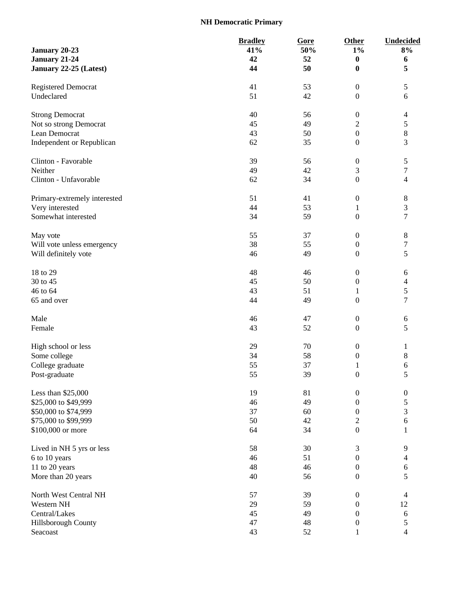# **NH Democratic Primary**

|                              | <b>Bradley</b> | Gore | <b>Other</b>     | <b>Undecided</b> |
|------------------------------|----------------|------|------------------|------------------|
| January 20-23                | 41%            | 50%  | $1\%$            | 8%               |
| January 21-24                | 42             | 52   | $\bf{0}$         | 6                |
| January 22-25 (Latest)       | 44             | 50   | $\boldsymbol{0}$ | 5                |
|                              |                |      |                  |                  |
| <b>Registered Democrat</b>   | 41             | 53   | $\boldsymbol{0}$ | $\mathfrak{S}$   |
| Undeclared                   | 51             | 42   | $\boldsymbol{0}$ | 6                |
|                              |                |      |                  |                  |
| <b>Strong Democrat</b>       | 40             | 56   | $\boldsymbol{0}$ | 4                |
| Not so strong Democrat       | 45             | 49   | $\overline{c}$   | $\mathfrak s$    |
| Lean Democrat                | 43             | 50   | $\boldsymbol{0}$ | $\,8$            |
| Independent or Republican    | 62             | 35   | $\boldsymbol{0}$ | 3                |
|                              |                |      |                  |                  |
| Clinton - Favorable          | 39             | 56   | $\boldsymbol{0}$ | 5                |
| Neither                      | 49             | 42   | 3                | $\boldsymbol{7}$ |
| Clinton - Unfavorable        | 62             | 34   | $\boldsymbol{0}$ | 4                |
|                              |                |      |                  |                  |
| Primary-extremely interested | 51             | 41   | $\boldsymbol{0}$ | $\,8\,$          |
| Very interested              | 44             | 53   | $\mathbf{1}$     | 3                |
| Somewhat interested          | 34             | 59   | $\boldsymbol{0}$ | $\overline{7}$   |
|                              |                |      |                  |                  |
| May vote                     | 55             | 37   | $\boldsymbol{0}$ | $\,8\,$          |
| Will vote unless emergency   | 38             | 55   | $\boldsymbol{0}$ | 7                |
| Will definitely vote         | 46             | 49   | $\boldsymbol{0}$ | 5                |
|                              |                |      |                  |                  |
| 18 to 29                     | 48             | 46   | $\boldsymbol{0}$ | 6                |
| 30 to 45                     | 45             | 50   | $\boldsymbol{0}$ | $\overline{4}$   |
| 46 to 64                     | 43             | 51   | $\mathbf{1}$     | 5                |
| 65 and over                  | 44             | 49   | $\boldsymbol{0}$ | $\tau$           |
|                              |                |      |                  |                  |
| Male                         | 46             | 47   | $\boldsymbol{0}$ | $\sqrt{6}$       |
| Female                       | 43             | 52   | $\boldsymbol{0}$ | 5                |
|                              |                |      |                  |                  |
| High school or less          | 29             | 70   | $\boldsymbol{0}$ | 1                |
| Some college                 | 34             | 58   | $\boldsymbol{0}$ | 8                |
| College graduate             | 55             | 37   | $\mathbf{1}$     | 6                |
| Post-graduate                | 55             | 39   | $\boldsymbol{0}$ | 5                |
|                              |                |      |                  |                  |
| Less than \$25,000           | 19             | 81   | $\boldsymbol{0}$ | $\boldsymbol{0}$ |
| \$25,000 to \$49,999         | 46             | 49   | $\boldsymbol{0}$ | 5                |
| \$50,000 to \$74,999         | 37             | 60   | $\boldsymbol{0}$ | 3                |
| \$75,000 to \$99,999         | 50             | 42   | $\mathbf{2}$     | $\sqrt{6}$       |
| \$100,000 or more            | 64             | 34   | $\boldsymbol{0}$ |                  |
|                              |                |      |                  | 1                |
| Lived in NH 5 yrs or less    | 58             | 30   | 3                | 9                |
| 6 to 10 years                | 46             | 51   | $\boldsymbol{0}$ | 4                |
| 11 to 20 years               | 48             | 46   | $\boldsymbol{0}$ | $\sqrt{6}$       |
|                              |                |      |                  |                  |
| More than 20 years           | 40             | 56   | $\boldsymbol{0}$ | 5                |
| North West Central NH        | 57             | 39   | $\boldsymbol{0}$ | $\overline{4}$   |
| Western NH                   | 29             | 59   | $\boldsymbol{0}$ | 12               |
| Central/Lakes                | 45             | 49   | $\boldsymbol{0}$ | $\sqrt{6}$       |
|                              |                |      |                  |                  |
| Hillsborough County          | 47             | 48   | $\boldsymbol{0}$ | 5                |
| Seacoast                     | 43             | 52   | $\mathbf{1}$     | $\overline{4}$   |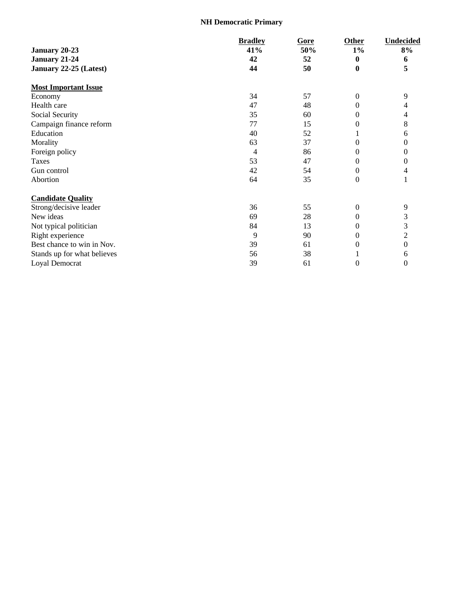# **NH Democratic Primary**

|                             | <b>Bradley</b> | Gore | Other            | <b>Undecided</b> |
|-----------------------------|----------------|------|------------------|------------------|
| January 20-23               | 41%            | 50%  | $1\%$            | 8%               |
| January 21-24               | 42             | 52   | $\bf{0}$         | 6                |
| January 22-25 (Latest)      | 44             | 50   | $\bf{0}$         | 5                |
| <b>Most Important Issue</b> |                |      |                  |                  |
| Economy                     | 34             | 57   | $\boldsymbol{0}$ | 9                |
| Health care                 | 47             | 48   | $\overline{0}$   |                  |
| Social Security             | 35             | 60   | $\overline{0}$   |                  |
| Campaign finance reform     | 77             | 15   | $\overline{0}$   | 8                |
| Education                   | 40             | 52   |                  | 6                |
| Morality                    | 63             | 37   | $\overline{0}$   | 0                |
| Foreign policy              | 4              | 86   | $\overline{0}$   | $\theta$         |
| Taxes                       | 53             | 47   | $\overline{0}$   | 0                |
| Gun control                 | 42             | 54   | $\boldsymbol{0}$ |                  |
| Abortion                    | 64             | 35   | $\overline{0}$   |                  |
| <b>Candidate Quality</b>    |                |      |                  |                  |
| Strong/decisive leader      | 36             | 55   | $\theta$         | 9                |
| New ideas                   | 69             | 28   | $\boldsymbol{0}$ | 3                |
| Not typical politician      | 84             | 13   | $\boldsymbol{0}$ | 3                |
| Right experience            | 9              | 90   | 0                | $\overline{c}$   |
| Best chance to win in Nov.  | 39             | 61   | $\boldsymbol{0}$ | 0                |
| Stands up for what believes | 56             | 38   |                  | 6                |
| Loyal Democrat              | 39             | 61   | $\boldsymbol{0}$ | $\overline{0}$   |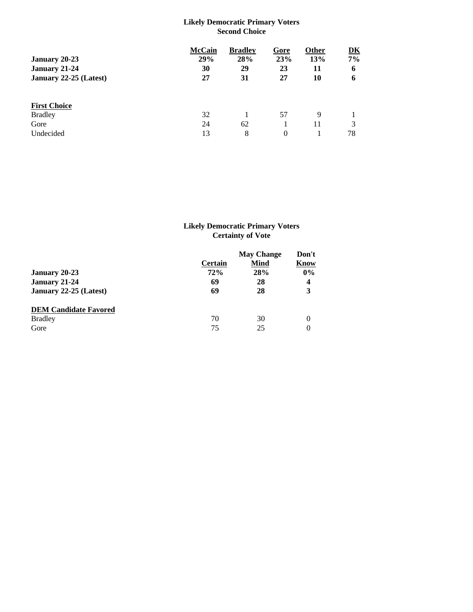## **Likely Democratic Primary Voters Second Choice**

|                        | <b>McCain</b> | <b>Bradley</b> | Gore     | Other | DK |
|------------------------|---------------|----------------|----------|-------|----|
| January 20-23          | 29%           | 28%            | 23%      | 13%   | 7% |
| January 21-24          | 30            | 29             | 23       | 11    | 6  |
| January 22-25 (Latest) | 27            | 31             | 27       | 10    | 6  |
|                        |               |                |          |       |    |
| <b>First Choice</b>    |               |                |          |       |    |
| <b>Bradley</b>         | 32            |                | 57       | 9     |    |
| Gore                   | 24            | 62             |          | 11    |    |
| Undecided              | 13            | 8              | $\Omega$ |       | 78 |

# **Likely Democratic Primary Voters Certainty of Vote**

|                              | <b>May Change</b> |             | Don't |
|------------------------------|-------------------|-------------|-------|
|                              | <b>Certain</b>    | <b>Mind</b> | Know  |
| January 20-23                | 72%               | 28%         | $0\%$ |
| January 21-24                | 69                | 28          | 4     |
| January 22-25 (Latest)       | 69                | 28          | 3     |
| <b>DEM Candidate Favored</b> |                   |             |       |
| <b>Bradley</b>               | 70                | 30          | 0     |
| Gore                         | 75                | 25          | 0     |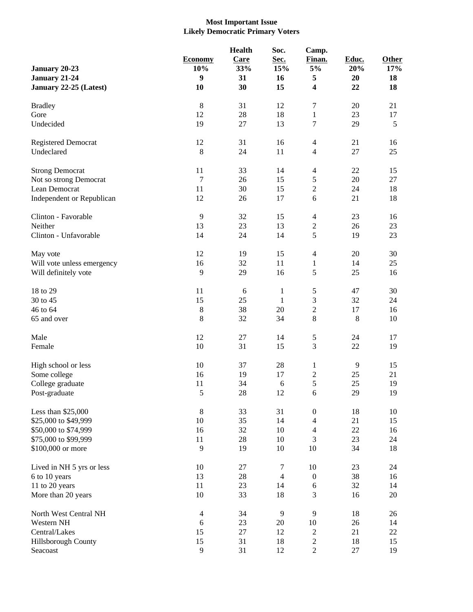# **Most Important Issue Likely Democratic Primary Voters**

|                            |                       | <b>Health</b> | Soc.           | Camp.                    |              |              |
|----------------------------|-----------------------|---------------|----------------|--------------------------|--------------|--------------|
| January 20-23              | <b>Economy</b><br>10% | Care<br>33%   | Sec.<br>15%    | Finan.<br>5%             | Educ.<br>20% | Other<br>17% |
| January 21-24              | $\boldsymbol{9}$      | 31            | 16             | 5                        | 20           | 18           |
| January 22-25 (Latest)     | 10                    | 30            | 15             | 4                        | 22           | 18           |
| <b>Bradley</b>             | $\,8\,$               | 31            | 12             | 7                        | 20           | 21           |
| Gore                       | 12                    | 28            | 18             | 1                        | 23           | 17           |
| Undecided                  | 19                    | 27            | 13             | 7                        | 29           | 5            |
| Registered Democrat        | 12                    | 31            | 16             | $\overline{4}$           | 21           | 16           |
| Undeclared                 | $8\phantom{1}$        | 24            | 11             | 4                        | 27           | 25           |
| <b>Strong Democrat</b>     | 11                    | 33            | 14             | $\overline{\mathcal{L}}$ | 22           | 15           |
| Not so strong Democrat     | 7                     | 26            | 15             | 5                        | 20           | 27           |
| Lean Democrat              | 11                    | 30            | 15             | $\overline{c}$           | 24           | 18           |
| Independent or Republican  | 12                    | 26            | 17             | 6                        | 21           | 18           |
| Clinton - Favorable        | 9                     | 32            | 15             | $\overline{\mathcal{L}}$ | 23           | 16           |
| Neither                    | 13                    | 23            | 13             | $\boldsymbol{2}$         | 26           | 23           |
| Clinton - Unfavorable      | 14                    | 24            | 14             | 5                        | 19           | 23           |
| May vote                   | 12                    | 19            | 15             | $\overline{4}$           | 20           | 30           |
| Will vote unless emergency | 16                    | 32            | 11             | 1                        | 14           | 25           |
| Will definitely vote       | 9                     | 29            | 16             | 5                        | 25           | 16           |
| 18 to 29                   | 11                    | 6             | $\mathbf{1}$   | 5                        | 47           | 30           |
| 30 to 45                   | 15                    | 25            | 1              | 3                        | 32           | 24           |
| 46 to 64                   | $\,8\,$               | 38            | 20             | $\overline{c}$           | 17           | 16           |
| 65 and over                | $\,8\,$               | 32            | 34             | 8                        | 8            | 10           |
| Male                       | 12                    | 27            | 14             | 5                        | 24           | 17           |
| Female                     | 10                    | 31            | 15             | 3                        | $22\,$       | 19           |
| High school or less        | 10                    | 37            | 28             | $\mathbf{1}$             | 9            | 15           |
| Some college               | 16                    | 19            | 17             | $\overline{\mathbf{c}}$  | 25           | 21           |
| College graduate           | 11                    | 34            | 6              | 5                        | 25           | 19           |
| Post-graduate              | 5                     | 28            | 12             | 6                        | 29           | 19           |
| Less than \$25,000         | $\,8\,$               | 33            | 31             | $\boldsymbol{0}$         | 18           | 10           |
| \$25,000 to \$49,999       | 10                    | 35            | 14             | $\overline{4}$           | 21           | 15           |
| \$50,000 to \$74,999       | 16                    | 32            | 10             | $\overline{4}$           | $22\,$       | 16           |
| \$75,000 to \$99,999       | 11                    | $28\,$        | 10             | 3                        | 23           | 24           |
| \$100,000 or more          | 9                     | 19            | 10             | 10                       | 34           | 18           |
| Lived in NH 5 yrs or less  | 10                    | 27            | $\tau$         | 10                       | 23           | 24           |
| 6 to 10 years              | 13                    | 28            | $\overline{4}$ | $\boldsymbol{0}$         | 38           | 16           |
| 11 to 20 years             | 11                    | 23            | 14             | $\sqrt{6}$               | 32           | 14           |
| More than 20 years         | $10\,$                | 33            | 18             | 3                        | 16           | 20           |
| North West Central NH      | $\overline{4}$        | 34            | 9              | 9                        | 18           | 26           |
| Western NH                 | 6                     | 23            | 20             | 10                       | 26           | 14           |
| Central/Lakes              | 15                    | $27\,$        | 12             | $\overline{c}$           | 21           | 22           |
| Hillsborough County        | 15                    | 31            | 18             | $\overline{c}$           | 18           | 15           |
| Seacoast                   | $\mathbf{9}$          | 31            | 12             | $\overline{2}$           | 27           | 19           |